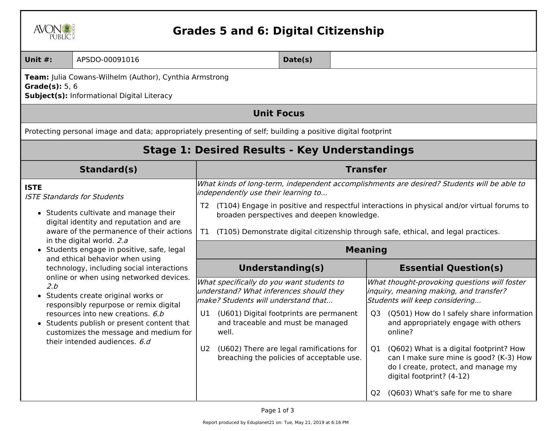|  | AVC<br>$\mathbb{N}$<br>PUBLIC. |
|--|--------------------------------|
|--|--------------------------------|

## **Grades 5 and 6: Digital Citizenship**

| <b>Unit #:</b>                                                                                                             | APSDO-00091016                                                                                                                                                                                                                                                                        | Date(s)                                                                                                                                                                                                                                                                                                                                                                                           |                         |  |                                                                                                                                                                                                                                                                                                                                                                                                                                        |  |  |  |
|----------------------------------------------------------------------------------------------------------------------------|---------------------------------------------------------------------------------------------------------------------------------------------------------------------------------------------------------------------------------------------------------------------------------------|---------------------------------------------------------------------------------------------------------------------------------------------------------------------------------------------------------------------------------------------------------------------------------------------------------------------------------------------------------------------------------------------------|-------------------------|--|----------------------------------------------------------------------------------------------------------------------------------------------------------------------------------------------------------------------------------------------------------------------------------------------------------------------------------------------------------------------------------------------------------------------------------------|--|--|--|
| Team: Julia Cowans-Wilhelm (Author), Cynthia Armstrong<br>Grade $(s)$ : 5, 6<br>Subject(s): Informational Digital Literacy |                                                                                                                                                                                                                                                                                       |                                                                                                                                                                                                                                                                                                                                                                                                   |                         |  |                                                                                                                                                                                                                                                                                                                                                                                                                                        |  |  |  |
| <b>Unit Focus</b>                                                                                                          |                                                                                                                                                                                                                                                                                       |                                                                                                                                                                                                                                                                                                                                                                                                   |                         |  |                                                                                                                                                                                                                                                                                                                                                                                                                                        |  |  |  |
|                                                                                                                            | Protecting personal image and data; appropriately presenting of self; building a positive digital footprint                                                                                                                                                                           |                                                                                                                                                                                                                                                                                                                                                                                                   |                         |  |                                                                                                                                                                                                                                                                                                                                                                                                                                        |  |  |  |
| <b>Stage 1: Desired Results - Key Understandings</b>                                                                       |                                                                                                                                                                                                                                                                                       |                                                                                                                                                                                                                                                                                                                                                                                                   |                         |  |                                                                                                                                                                                                                                                                                                                                                                                                                                        |  |  |  |
|                                                                                                                            | Standard(s)                                                                                                                                                                                                                                                                           | <b>Transfer</b>                                                                                                                                                                                                                                                                                                                                                                                   |                         |  |                                                                                                                                                                                                                                                                                                                                                                                                                                        |  |  |  |
| <b>ISTE</b>                                                                                                                | <b>ISTE Standards for Students</b><br>• Students cultivate and manage their<br>digital identity and reputation and are<br>aware of the permanence of their actions<br>in the digital world. 2.a<br>• Students engage in positive, safe, legal                                         | What kinds of long-term, independent accomplishments are desired? Students will be able to<br>independently use their learning to<br>(T104) Engage in positive and respectful interactions in physical and/or virtual forums to<br>T2<br>broaden perspectives and deepen knowledge.<br>(T105) Demonstrate digital citizenship through safe, ethical, and legal practices.<br>T1<br><b>Meaning</b> |                         |  |                                                                                                                                                                                                                                                                                                                                                                                                                                        |  |  |  |
| and ethical behavior when using<br>technology, including social interactions                                               |                                                                                                                                                                                                                                                                                       |                                                                                                                                                                                                                                                                                                                                                                                                   | <b>Understanding(s)</b> |  | <b>Essential Question(s)</b>                                                                                                                                                                                                                                                                                                                                                                                                           |  |  |  |
| 2.b                                                                                                                        | online or when using networked devices.<br>• Students create original works or<br>responsibly repurpose or remix digital<br>resources into new creations. 6.b<br>• Students publish or present content that<br>customizes the message and medium for<br>their intended audiences. 6.d | What specifically do you want students to<br>understand? What inferences should they<br>make? Students will understand that<br>U1 (U601) Digital footprints are permanent<br>and traceable and must be managed<br>well.<br>(U602) There are legal ramifications for<br>U <sub>2</sub><br>breaching the policies of acceptable use.                                                                |                         |  | What thought-provoking questions will foster<br>inquiry, meaning making, and transfer?<br>Students will keep considering<br>Q3 (Q501) How do I safely share information<br>and appropriately engage with others<br>online?<br>(Q602) What is a digital footprint? How<br>O1<br>can I make sure mine is good? (K-3) How<br>do I create, protect, and manage my<br>digital footprint? (4-12)<br>(Q603) What's safe for me to share<br>O2 |  |  |  |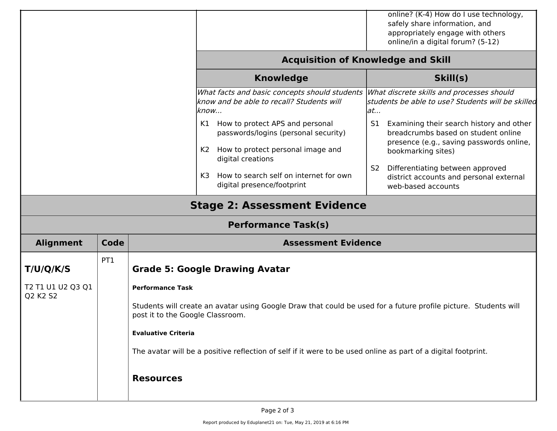|                                                                                |                                     |                                                                                                                                                                                                                                                                                                                                                                                            |                                                                                                                                                                                                                                                                                                                 | online? (K-4) How do I use technology,<br>safely share information, and<br>appropriately engage with others                                                                                                                                                                                                                                                                            |  |  |  |  |
|--------------------------------------------------------------------------------|-------------------------------------|--------------------------------------------------------------------------------------------------------------------------------------------------------------------------------------------------------------------------------------------------------------------------------------------------------------------------------------------------------------------------------------------|-----------------------------------------------------------------------------------------------------------------------------------------------------------------------------------------------------------------------------------------------------------------------------------------------------------------|----------------------------------------------------------------------------------------------------------------------------------------------------------------------------------------------------------------------------------------------------------------------------------------------------------------------------------------------------------------------------------------|--|--|--|--|
| online/in a digital forum? (5-12)<br><b>Acquisition of Knowledge and Skill</b> |                                     |                                                                                                                                                                                                                                                                                                                                                                                            |                                                                                                                                                                                                                                                                                                                 |                                                                                                                                                                                                                                                                                                                                                                                        |  |  |  |  |
|                                                                                |                                     |                                                                                                                                                                                                                                                                                                                                                                                            | <b>Knowledge</b>                                                                                                                                                                                                                                                                                                | Skill(s)                                                                                                                                                                                                                                                                                                                                                                               |  |  |  |  |
|                                                                                |                                     | K1.<br>K2<br>K3                                                                                                                                                                                                                                                                                                                                                                            | What facts and basic concepts should students<br>know and be able to recall? Students will<br>know<br>How to protect APS and personal<br>passwords/logins (personal security)<br>How to protect personal image and<br>digital creations<br>How to search self on internet for own<br>digital presence/footprint | What discrete skills and processes should<br>students be able to use? Students will be skilled<br>at<br>Examining their search history and other<br>S1<br>breadcrumbs based on student online<br>presence (e.g., saving passwords online,<br>bookmarking sites)<br>Differentiating between approved<br>S <sub>2</sub><br>district accounts and personal external<br>web-based accounts |  |  |  |  |
|                                                                                | <b>Stage 2: Assessment Evidence</b> |                                                                                                                                                                                                                                                                                                                                                                                            |                                                                                                                                                                                                                                                                                                                 |                                                                                                                                                                                                                                                                                                                                                                                        |  |  |  |  |
|                                                                                | <b>Performance Task(s)</b>          |                                                                                                                                                                                                                                                                                                                                                                                            |                                                                                                                                                                                                                                                                                                                 |                                                                                                                                                                                                                                                                                                                                                                                        |  |  |  |  |
| <b>Alignment</b>                                                               | Code                                | <b>Assessment Evidence</b>                                                                                                                                                                                                                                                                                                                                                                 |                                                                                                                                                                                                                                                                                                                 |                                                                                                                                                                                                                                                                                                                                                                                        |  |  |  |  |
| T/U/Q/K/S<br>T2 T1 U1 U2 Q3 Q1<br>Q2 K2 S2                                     | PT <sub>1</sub>                     | <b>Grade 5: Google Drawing Avatar</b><br><b>Performance Task</b><br>Students will create an avatar using Google Draw that could be used for a future profile picture. Students will<br>post it to the Google Classroom.<br><b>Evaluative Criteria</b><br>The avatar will be a positive reflection of self if it were to be used online as part of a digital footprint.<br><b>Resources</b> |                                                                                                                                                                                                                                                                                                                 |                                                                                                                                                                                                                                                                                                                                                                                        |  |  |  |  |